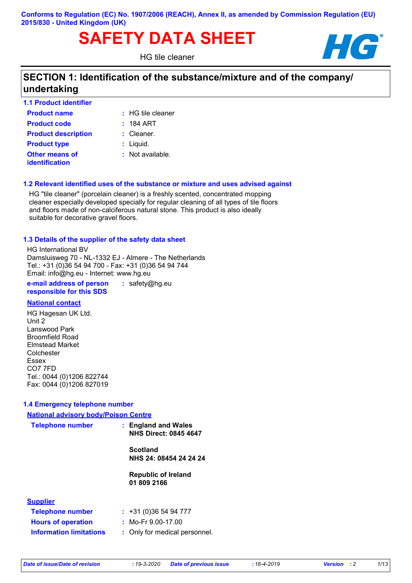#### **Conforms to Regulation (EC) No. 1907/2006 (REACH), Annex II, as amended by Commission Regulation (EU) 2015/830 - United Kingdom (UK)**

# SAFETY DATA SHEET **HG**

HG tile cleaner



# **SECTION 1: Identification of the substance/mixture and of the company/ undertaking**

| <b>1.1 Product identifier</b>                  |                     |
|------------------------------------------------|---------------------|
| <b>Product name</b>                            | $:$ HG tile cleaner |
| <b>Product code</b>                            | : 184 ART           |
| <b>Product description</b>                     | $:$ Cleaner.        |
| <b>Product type</b>                            | $:$ Liquid.         |
| <b>Other means of</b><br><b>identification</b> | $:$ Not available.  |

#### **1.2 Relevant identified uses of the substance or mixture and uses advised against**

HG "tile cleaner" (porcelain cleaner) is a freshly scented, concentrated mopping cleaner especially developed specially for regular cleaning of all types of tile floors and floors made of non-calciferous natural stone. This product is also ideally suitable for decorative gravel floors.

#### **1.3 Details of the supplier of the safety data sheet**

HG International BV Damsluisweg 70 - NL-1332 EJ - Almere - The Netherlands Tel.: +31 (0)36 54 94 700 - Fax: +31 (0)36 54 94 744 Email: info@hg.eu - Internet: www.hg.eu

**e-mail address of person responsible for this SDS :** safety@hg.eu

#### **National contact**

HG Hagesan UK Ltd. Unit 2 Lanswood Park Broomfield Road Elmstead Market **Colchester** Essex CO7 7FD Tel.: 0044 (0)1206 822744 Fax: 0044 (0)1206 827019

#### **1.4 Emergency telephone number**

# **:** Only for medical personnel. **Information limitations National advisory body/Poison Centre Telephone number : Supplier Telephone number : Hours of operation :** +31 (0)36 54 94 777 **England and Wales NHS Direct: 0845 4647 Scotland NHS 24: 08454 24 24 24 Republic of Ireland 01 809 2166** Mo-Fr 9.00-17.00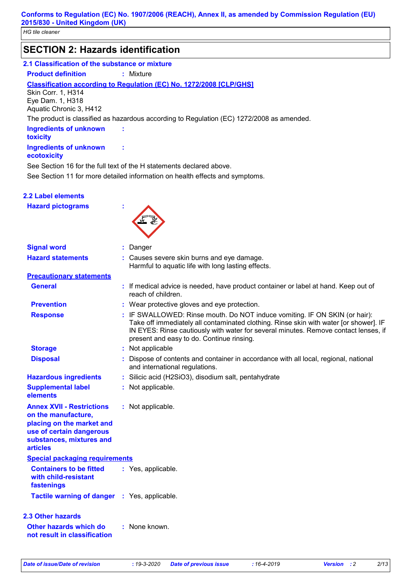# **SECTION 2: Hazards identification**

#### **2.1 Classification of the substance or mixture**

**Product definition :** Mixture

#### **Classification according to Regulation (EC) No. 1272/2008 [CLP/GHS]**

**:**

**:**

Skin Corr. 1, H314 Eye Dam. 1, H318 Aquatic Chronic 3, H412

The product is classified as hazardous according to Regulation (EC) 1272/2008 as amended.

#### **Ingredients of unknown toxicity Ingredients of unknown**

#### **ecotoxicity**

See Section 11 for more detailed information on health effects and symptoms. See Section 16 for the full text of the H statements declared above.

|  | <b>2.2 Label elements</b> |  |
|--|---------------------------|--|
|  |                           |  |

| <b>Hazard pictograms</b> |  |
|--------------------------|--|
|                          |  |



| <b>Signal word</b>                                                                                                                                              | : Danger                                                                                                                                                                                                                                                                                                |
|-----------------------------------------------------------------------------------------------------------------------------------------------------------------|---------------------------------------------------------------------------------------------------------------------------------------------------------------------------------------------------------------------------------------------------------------------------------------------------------|
| <b>Hazard statements</b>                                                                                                                                        | : Causes severe skin burns and eye damage.<br>Harmful to aquatic life with long lasting effects.                                                                                                                                                                                                        |
| <b>Precautionary statements</b>                                                                                                                                 |                                                                                                                                                                                                                                                                                                         |
| <b>General</b>                                                                                                                                                  | : If medical advice is needed, have product container or label at hand. Keep out of<br>reach of children.                                                                                                                                                                                               |
| <b>Prevention</b>                                                                                                                                               | : Wear protective gloves and eye protection.                                                                                                                                                                                                                                                            |
| <b>Response</b>                                                                                                                                                 | : IF SWALLOWED: Rinse mouth. Do NOT induce vomiting. IF ON SKIN (or hair):<br>Take off immediately all contaminated clothing. Rinse skin with water [or shower]. IF<br>IN EYES: Rinse cautiously with water for several minutes. Remove contact lenses, if<br>present and easy to do. Continue rinsing. |
| <b>Storage</b>                                                                                                                                                  | : Not applicable                                                                                                                                                                                                                                                                                        |
| <b>Disposal</b>                                                                                                                                                 | Dispose of contents and container in accordance with all local, regional, national<br>and international regulations.                                                                                                                                                                                    |
| <b>Hazardous ingredients</b>                                                                                                                                    | : Silicic acid (H2SiO3), disodium salt, pentahydrate                                                                                                                                                                                                                                                    |
| <b>Supplemental label</b><br>elements                                                                                                                           | : Not applicable.                                                                                                                                                                                                                                                                                       |
| <b>Annex XVII - Restrictions</b><br>on the manufacture,<br>placing on the market and<br>use of certain dangerous<br>substances, mixtures and<br><b>articles</b> | : Not applicable.                                                                                                                                                                                                                                                                                       |
| <b>Special packaging requirements</b>                                                                                                                           |                                                                                                                                                                                                                                                                                                         |
| <b>Containers to be fitted</b><br>with child-resistant<br>fastenings                                                                                            | : Yes, applicable.                                                                                                                                                                                                                                                                                      |
| Tactile warning of danger : Yes, applicable.                                                                                                                    |                                                                                                                                                                                                                                                                                                         |
| <b>2.3 Other hazards</b>                                                                                                                                        |                                                                                                                                                                                                                                                                                                         |
| Other hazards which do<br>not result in classification                                                                                                          | : None known.                                                                                                                                                                                                                                                                                           |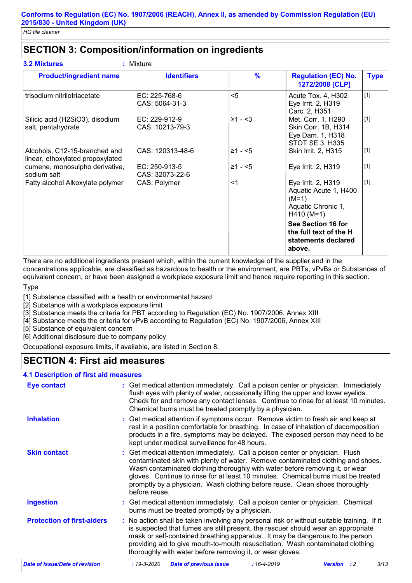# **SECTION 3: Composition/information on ingredients**

| <b>Product/ingredient name</b>                                    | <b>Identifiers</b>               | $\frac{9}{6}$ | <b>Regulation (EC) No.</b><br>1272/2008 [CLP]                                                | <b>Type</b> |
|-------------------------------------------------------------------|----------------------------------|---------------|----------------------------------------------------------------------------------------------|-------------|
| trisodium nitrilotriacetate                                       | EC: 225-768-6<br>CAS: 5064-31-3  | $5$           | Acute Tox. 4, H302<br>Eye Irrit. 2, H319<br>Carc. 2, H351                                    | $[1]$       |
| Silicic acid (H2SiO3), disodium<br>salt, pentahydrate             | EC: 229-912-9<br>CAS: 10213-79-3 | $≥1 - 3$      | Met. Corr. 1, H290<br>Skin Corr. 1B, H314<br>Eye Dam. 1, H318<br>STOT SE 3, H335             | $[1]$       |
| Alcohols, C12-15-branched and<br>linear, ethoxylated propoxylated | CAS: 120313-48-6                 | $≥1 - 5$      | Skin Irrit. 2, H315                                                                          | $[1]$       |
| cumene, monosulpho derivative,<br>sodium salt                     | EC: 250-913-5<br>CAS: 32073-22-6 | $≥1 - 5$      | Eye Irrit. 2, H319                                                                           | $[1]$       |
| Fatty alcohol Alkoxylate polymer                                  | CAS: Polymer                     | $<$ 1         | Eye Irrit. 2, H319<br>Aquatic Acute 1, H400<br>$(M=1)$<br>Aquatic Chronic 1,<br>$H410 (M=1)$ | $[1]$       |
|                                                                   |                                  |               | See Section 16 for<br>the full text of the H<br>statements declared<br>above.                |             |

There are no additional ingredients present which, within the current knowledge of the supplier and in the concentrations applicable, are classified as hazardous to health or the environment, are PBTs, vPvBs or Substances of

equivalent concern, or have been assigned a workplace exposure limit and hence require reporting in this section.

**Type** 

[1] Substance classified with a health or environmental hazard

[2] Substance with a workplace exposure limit

[3] Substance meets the criteria for PBT according to Regulation (EC) No. 1907/2006, Annex XIII

[4] Substance meets the criteria for vPvB according to Regulation (EC) No. 1907/2006, Annex XIII

[5] Substance of equivalent concern

[6] Additional disclosure due to company policy

Occupational exposure limits, if available, are listed in Section 8.

# **SECTION 4: First aid measures**

#### **4.1 Description of first aid measures**

| <b>Eye contact</b>                | : Get medical attention immediately. Call a poison center or physician. Immediately<br>flush eyes with plenty of water, occasionally lifting the upper and lower eyelids.<br>Check for and remove any contact lenses. Continue to rinse for at least 10 minutes.<br>Chemical burns must be treated promptly by a physician.                                                                                                           |
|-----------------------------------|---------------------------------------------------------------------------------------------------------------------------------------------------------------------------------------------------------------------------------------------------------------------------------------------------------------------------------------------------------------------------------------------------------------------------------------|
| <b>Inhalation</b>                 | : Get medical attention if symptoms occur. Remove victim to fresh air and keep at<br>rest in a position comfortable for breathing. In case of inhalation of decomposition<br>products in a fire, symptoms may be delayed. The exposed person may need to be<br>kept under medical surveillance for 48 hours.                                                                                                                          |
| <b>Skin contact</b>               | : Get medical attention immediately. Call a poison center or physician. Flush<br>contaminated skin with plenty of water. Remove contaminated clothing and shoes.<br>Wash contaminated clothing thoroughly with water before removing it, or wear<br>gloves. Continue to rinse for at least 10 minutes. Chemical burns must be treated<br>promptly by a physician. Wash clothing before reuse. Clean shoes thoroughly<br>before reuse. |
| <b>Ingestion</b>                  | : Get medical attention immediately. Call a poison center or physician. Chemical<br>burns must be treated promptly by a physician.                                                                                                                                                                                                                                                                                                    |
| <b>Protection of first-aiders</b> | : No action shall be taken involving any personal risk or without suitable training. If it<br>is suspected that fumes are still present, the rescuer should wear an appropriate<br>mask or self-contained breathing apparatus. It may be dangerous to the person<br>providing aid to give mouth-to-mouth resuscitation. Wash contaminated clothing<br>thoroughly with water before removing it, or wear gloves.                       |
| Date of issue/Date of revision    | 3/13<br>$: 19 - 3 - 2020$<br><b>Date of previous issue</b><br>$:16 - 4 - 2019$<br><b>Version</b> : 2                                                                                                                                                                                                                                                                                                                                  |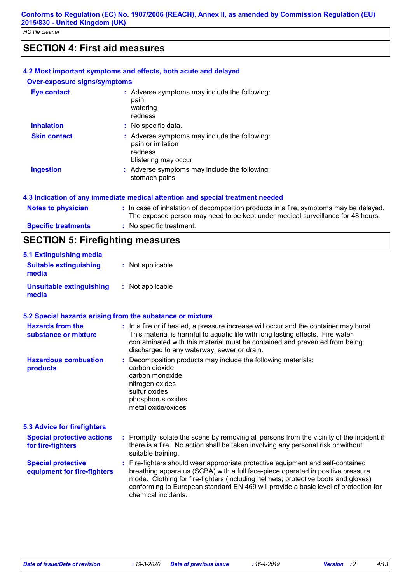### **SECTION 4: First aid measures**

#### **4.2 Most important symptoms and effects, both acute and delayed**

#### **Over-exposure signs/symptoms**

| <b>Eye contact</b>  | : Adverse symptoms may include the following:<br>pain<br>watering<br>redness                           |
|---------------------|--------------------------------------------------------------------------------------------------------|
| <b>Inhalation</b>   | : No specific data.                                                                                    |
| <b>Skin contact</b> | : Adverse symptoms may include the following:<br>pain or irritation<br>redness<br>blistering may occur |
| <b>Ingestion</b>    | : Adverse symptoms may include the following:<br>stomach pains                                         |

#### **4.3 Indication of any immediate medical attention and special treatment needed**

| <b>Notes to physician</b>  | : In case of inhalation of decomposition products in a fire, symptoms may be delayed.<br>The exposed person may need to be kept under medical surveillance for 48 hours. |
|----------------------------|--------------------------------------------------------------------------------------------------------------------------------------------------------------------------|
| <b>Specific treatments</b> | : No specific treatment.                                                                                                                                                 |
|                            |                                                                                                                                                                          |

# **SECTION 5: Firefighting measures**

| 5.1 Extinguishing media                  |                  |
|------------------------------------------|------------------|
| <b>Suitable extinguishing</b><br>media   | : Not applicable |
| <b>Unsuitable extinguishing</b><br>media | : Not applicable |

#### **5.2 Special hazards arising from the substance or mixture**

| <b>Hazards from the</b><br>substance or mixture          | : In a fire or if heated, a pressure increase will occur and the container may burst.<br>This material is harmful to aquatic life with long lasting effects. Fire water<br>contaminated with this material must be contained and prevented from being<br>discharged to any waterway, sewer or drain.                                                                  |
|----------------------------------------------------------|-----------------------------------------------------------------------------------------------------------------------------------------------------------------------------------------------------------------------------------------------------------------------------------------------------------------------------------------------------------------------|
| <b>Hazardous combustion</b><br>products                  | : Decomposition products may include the following materials:<br>carbon dioxide<br>carbon monoxide<br>nitrogen oxides<br>sulfur oxides<br>phosphorus oxides<br>metal oxide/oxides                                                                                                                                                                                     |
| <b>5.3 Advice for firefighters</b>                       |                                                                                                                                                                                                                                                                                                                                                                       |
| <b>Special protective actions</b><br>for fire-fighters   | : Promptly isolate the scene by removing all persons from the vicinity of the incident if<br>there is a fire. No action shall be taken involving any personal risk or without<br>suitable training.                                                                                                                                                                   |
| <b>Special protective</b><br>equipment for fire-fighters | : Fire-fighters should wear appropriate protective equipment and self-contained<br>breathing apparatus (SCBA) with a full face-piece operated in positive pressure<br>mode. Clothing for fire-fighters (including helmets, protective boots and gloves)<br>conforming to European standard EN 469 will provide a basic level of protection for<br>chemical incidents. |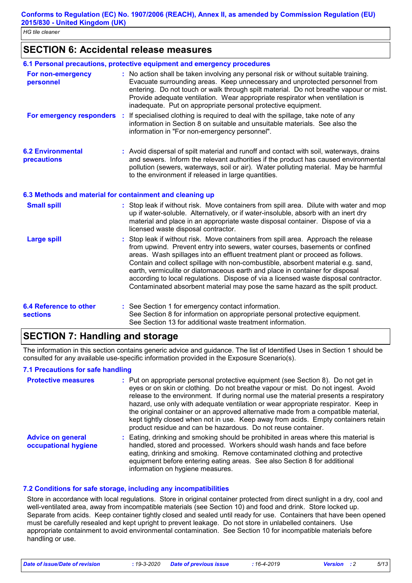### **SECTION 6: Accidental release measures**

|                                                  | 6.1 Personal precautions, protective equipment and emergency procedures                                                                                                                                                                                                                                                                                                                                                                                                                                                                                                                           |
|--------------------------------------------------|---------------------------------------------------------------------------------------------------------------------------------------------------------------------------------------------------------------------------------------------------------------------------------------------------------------------------------------------------------------------------------------------------------------------------------------------------------------------------------------------------------------------------------------------------------------------------------------------------|
| For non-emergency<br>personnel                   | : No action shall be taken involving any personal risk or without suitable training.<br>Evacuate surrounding areas. Keep unnecessary and unprotected personnel from<br>entering. Do not touch or walk through spilt material. Do not breathe vapour or mist.<br>Provide adequate ventilation. Wear appropriate respirator when ventilation is<br>inadequate. Put on appropriate personal protective equipment.                                                                                                                                                                                    |
| For emergency responders :                       | If specialised clothing is required to deal with the spillage, take note of any<br>information in Section 8 on suitable and unsuitable materials. See also the<br>information in "For non-emergency personnel".                                                                                                                                                                                                                                                                                                                                                                                   |
| <b>6.2 Environmental</b><br>precautions          | : Avoid dispersal of spilt material and runoff and contact with soil, waterways, drains<br>and sewers. Inform the relevant authorities if the product has caused environmental<br>pollution (sewers, waterways, soil or air). Water polluting material. May be harmful<br>to the environment if released in large quantities.                                                                                                                                                                                                                                                                     |
|                                                  | 6.3 Methods and material for containment and cleaning up                                                                                                                                                                                                                                                                                                                                                                                                                                                                                                                                          |
| <b>Small spill</b>                               | : Stop leak if without risk. Move containers from spill area. Dilute with water and mop<br>up if water-soluble. Alternatively, or if water-insoluble, absorb with an inert dry<br>material and place in an appropriate waste disposal container. Dispose of via a<br>licensed waste disposal contractor.                                                                                                                                                                                                                                                                                          |
| <b>Large spill</b>                               | : Stop leak if without risk. Move containers from spill area. Approach the release<br>from upwind. Prevent entry into sewers, water courses, basements or confined<br>areas. Wash spillages into an effluent treatment plant or proceed as follows.<br>Contain and collect spillage with non-combustible, absorbent material e.g. sand,<br>earth, vermiculite or diatomaceous earth and place in container for disposal<br>according to local regulations. Dispose of via a licensed waste disposal contractor.<br>Contaminated absorbent material may pose the same hazard as the spilt product. |
| <b>6.4 Reference to other</b><br><b>sections</b> | : See Section 1 for emergency contact information.<br>See Section 8 for information on appropriate personal protective equipment.<br>See Section 13 for additional waste treatment information.                                                                                                                                                                                                                                                                                                                                                                                                   |

#### **SECTION 7: Handling and storage**

The information in this section contains generic advice and guidance. The list of Identified Uses in Section 1 should be consulted for any available use-specific information provided in the Exposure Scenario(s).

#### **7.1 Precautions for safe handling**

| <b>Protective measures</b>                       | : Put on appropriate personal protective equipment (see Section 8). Do not get in<br>eyes or on skin or clothing. Do not breathe vapour or mist. Do not ingest. Avoid<br>release to the environment. If during normal use the material presents a respiratory<br>hazard, use only with adequate ventilation or wear appropriate respirator. Keep in<br>the original container or an approved alternative made from a compatible material,<br>kept tightly closed when not in use. Keep away from acids. Empty containers retain<br>product residue and can be hazardous. Do not reuse container. |
|--------------------------------------------------|--------------------------------------------------------------------------------------------------------------------------------------------------------------------------------------------------------------------------------------------------------------------------------------------------------------------------------------------------------------------------------------------------------------------------------------------------------------------------------------------------------------------------------------------------------------------------------------------------|
| <b>Advice on general</b><br>occupational hygiene | : Eating, drinking and smoking should be prohibited in areas where this material is<br>handled, stored and processed. Workers should wash hands and face before<br>eating, drinking and smoking. Remove contaminated clothing and protective<br>equipment before entering eating areas. See also Section 8 for additional<br>information on hygiene measures.                                                                                                                                                                                                                                    |

#### **7.2 Conditions for safe storage, including any incompatibilities**

Store in accordance with local regulations. Store in original container protected from direct sunlight in a dry, cool and well-ventilated area, away from incompatible materials (see Section 10) and food and drink. Store locked up. Separate from acids. Keep container tightly closed and sealed until ready for use. Containers that have been opened must be carefully resealed and kept upright to prevent leakage. Do not store in unlabelled containers. Use appropriate containment to avoid environmental contamination. See Section 10 for incompatible materials before handling or use.

*Date of issue/Date of revision* **:** *19-3-2020 Date of previous issue : 16-4-2019 Version : 2 5/13*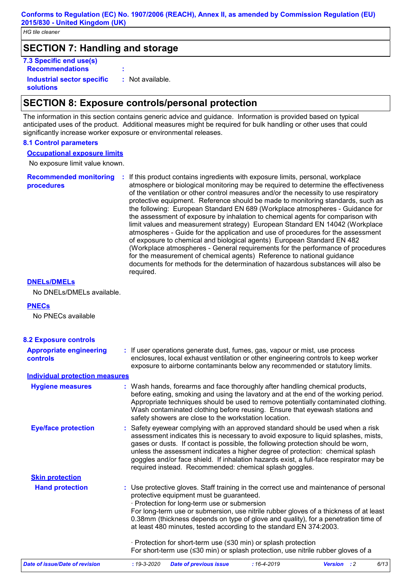### **SECTION 7: Handling and storage**

**7.3 Specific end use(s) Recommendations : Industrial sector specific : solutions** : Not available.

### **SECTION 8: Exposure controls/personal protection**

The information in this section contains generic advice and guidance. Information is provided based on typical anticipated uses of the product. Additional measures might be required for bulk handling or other uses that could significantly increase worker exposure or environmental releases.

#### **8.1 Control parameters**

#### **Occupational exposure limits**

No exposure limit value known.

**Recommended monitoring procedures :** If this product contains ingredients with exposure limits, personal, workplace atmosphere or biological monitoring may be required to determine the effectiveness of the ventilation or other control measures and/or the necessity to use respiratory protective equipment. Reference should be made to monitoring standards, such as the following: European Standard EN 689 (Workplace atmospheres - Guidance for the assessment of exposure by inhalation to chemical agents for comparison with limit values and measurement strategy) European Standard EN 14042 (Workplace atmospheres - Guide for the application and use of procedures for the assessment of exposure to chemical and biological agents) European Standard EN 482 (Workplace atmospheres - General requirements for the performance of procedures for the measurement of chemical agents) Reference to national guidance documents for methods for the determination of hazardous substances will also be required.

#### **DNELs/DMELs**

No DNELs/DMELs available.

#### **PNECs**

No PNECs available

| <b>8.2 Exposure controls</b>                      |                                                                                                                                                                                                                                                                                                                                                                                                                                                                                                                                                                                                 |  |
|---------------------------------------------------|-------------------------------------------------------------------------------------------------------------------------------------------------------------------------------------------------------------------------------------------------------------------------------------------------------------------------------------------------------------------------------------------------------------------------------------------------------------------------------------------------------------------------------------------------------------------------------------------------|--|
| <b>Appropriate engineering</b><br><b>controls</b> | : If user operations generate dust, fumes, gas, vapour or mist, use process<br>enclosures, local exhaust ventilation or other engineering controls to keep worker<br>exposure to airborne contaminants below any recommended or statutory limits.                                                                                                                                                                                                                                                                                                                                               |  |
| <b>Individual protection measures</b>             |                                                                                                                                                                                                                                                                                                                                                                                                                                                                                                                                                                                                 |  |
| <b>Hygiene measures</b>                           | : Wash hands, forearms and face thoroughly after handling chemical products,<br>before eating, smoking and using the lavatory and at the end of the working period.<br>Appropriate techniques should be used to remove potentially contaminated clothing.<br>Wash contaminated clothing before reusing. Ensure that eyewash stations and<br>safety showers are close to the workstation location.                                                                                                                                                                                               |  |
| <b>Eye/face protection</b>                        | : Safety eyewear complying with an approved standard should be used when a risk<br>assessment indicates this is necessary to avoid exposure to liquid splashes, mists,<br>gases or dusts. If contact is possible, the following protection should be worn,<br>unless the assessment indicates a higher degree of protection: chemical splash<br>goggles and/or face shield. If inhalation hazards exist, a full-face respirator may be<br>required instead. Recommended: chemical splash goggles.                                                                                               |  |
| <b>Skin protection</b>                            |                                                                                                                                                                                                                                                                                                                                                                                                                                                                                                                                                                                                 |  |
| <b>Hand protection</b>                            | : Use protective gloves. Staff training in the correct use and maintenance of personal<br>protective equipment must be guaranteed.<br>· Protection for long-term use or submersion<br>For long-term use or submersion, use nitrile rubber gloves of a thickness of at least<br>0.38mm (thickness depends on type of glove and quality), for a penetration time of<br>at least 480 minutes, tested according to the standard EN 374:2003.<br>· Protection for short-term use (≤30 min) or splash protection<br>For short-term use (≤30 min) or splash protection, use nitrile rubber gloves of a |  |
|                                                   |                                                                                                                                                                                                                                                                                                                                                                                                                                                                                                                                                                                                 |  |
| Date of issue/Date of revision                    | 6/13<br>$: 19 - 3 - 2020$<br><b>Date of previous issue</b><br>$:16 - 4 - 2019$<br>Version : 2                                                                                                                                                                                                                                                                                                                                                                                                                                                                                                   |  |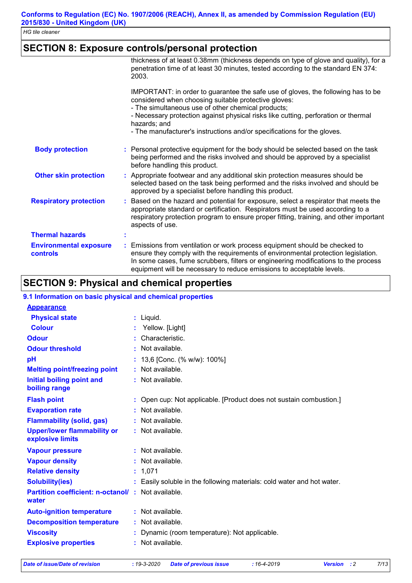# **SECTION 8: Exposure controls/personal protection**

|                                                  | thickness of at least 0.38mm (thickness depends on type of glove and quality), for a<br>penetration time of at least 30 minutes, tested according to the standard EN 374:<br>2003.                                                                                                                                                                                              |
|--------------------------------------------------|---------------------------------------------------------------------------------------------------------------------------------------------------------------------------------------------------------------------------------------------------------------------------------------------------------------------------------------------------------------------------------|
|                                                  | IMPORTANT: in order to guarantee the safe use of gloves, the following has to be<br>considered when choosing suitable protective gloves:<br>- The simultaneous use of other chemical products;<br>- Necessary protection against physical risks like cutting, perforation or thermal<br>hazards; and<br>- The manufacturer's instructions and/or specifications for the gloves. |
| <b>Body protection</b>                           | : Personal protective equipment for the body should be selected based on the task<br>being performed and the risks involved and should be approved by a specialist<br>before handling this product.                                                                                                                                                                             |
| <b>Other skin protection</b>                     | : Appropriate footwear and any additional skin protection measures should be<br>selected based on the task being performed and the risks involved and should be<br>approved by a specialist before handling this product.                                                                                                                                                       |
| <b>Respiratory protection</b>                    | : Based on the hazard and potential for exposure, select a respirator that meets the<br>appropriate standard or certification. Respirators must be used according to a<br>respiratory protection program to ensure proper fitting, training, and other important<br>aspects of use.                                                                                             |
| <b>Thermal hazards</b>                           | t                                                                                                                                                                                                                                                                                                                                                                               |
| <b>Environmental exposure</b><br><b>controls</b> | : Emissions from ventilation or work process equipment should be checked to<br>ensure they comply with the requirements of environmental protection legislation.<br>In some cases, fume scrubbers, filters or engineering modifications to the process<br>equipment will be necessary to reduce emissions to acceptable levels.                                                 |

# **SECTION 9: Physical and chemical properties**

| 9.1 Information on basic physical and chemical properties         |                                                                        |
|-------------------------------------------------------------------|------------------------------------------------------------------------|
| <b>Appearance</b>                                                 |                                                                        |
| <b>Physical state</b>                                             | $:$ Liquid.                                                            |
| <b>Colour</b>                                                     | Yellow. [Light]                                                        |
| <b>Odour</b>                                                      | Characteristic.                                                        |
| <b>Odour threshold</b>                                            | : Not available.                                                       |
| pH                                                                | 13,6 [Conc. (% w/w): 100%]                                             |
| <b>Melting point/freezing point</b>                               | : Not available.                                                       |
| Initial boiling point and<br>boiling range                        | : Not available.                                                       |
| <b>Flash point</b>                                                | : Open cup: Not applicable. [Product does not sustain combustion.]     |
| <b>Evaporation rate</b>                                           | Not available.                                                         |
| <b>Flammability (solid, gas)</b>                                  | : Not available.                                                       |
| <b>Upper/lower flammability or</b><br>explosive limits            | : Not available.                                                       |
| <b>Vapour pressure</b>                                            | : Not available.                                                       |
| <b>Vapour density</b>                                             | : Not available.                                                       |
| <b>Relative density</b>                                           | : 1,071                                                                |
| <b>Solubility(ies)</b>                                            | : Easily soluble in the following materials: cold water and hot water. |
| <b>Partition coefficient: n-octanol/: Not available.</b><br>water |                                                                        |
| <b>Auto-ignition temperature</b>                                  | : Not available.                                                       |
| <b>Decomposition temperature</b>                                  | : Not available.                                                       |
| <b>Viscosity</b>                                                  | Dynamic (room temperature): Not applicable.                            |
| <b>Explosive properties</b>                                       | : Not available.                                                       |

*Date of issue/Date of revision* **:** *19-3-2020 Date of previous issue : 16-4-2019 Version : 2 7/13*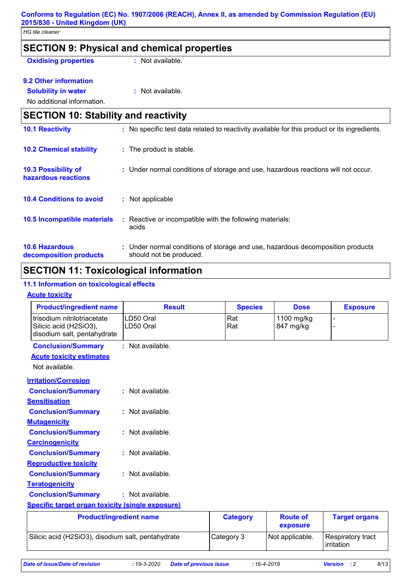| <b>HG tile cleaner</b>                            |                                                                                                           |
|---------------------------------------------------|-----------------------------------------------------------------------------------------------------------|
|                                                   | <b>SECTION 9: Physical and chemical properties</b>                                                        |
| <b>Oxidising properties</b>                       | : Not available.                                                                                          |
| 9.2 Other information                             |                                                                                                           |
| <b>Solubility in water</b>                        | : Not available.                                                                                          |
| No additional information.                        |                                                                                                           |
| <b>SECTION 10: Stability and reactivity</b>       |                                                                                                           |
| <b>10.1 Reactivity</b>                            | : No specific test data related to reactivity available for this product or its ingredients.              |
| <b>10.2 Chemical stability</b>                    | : The product is stable.                                                                                  |
| <b>10.3 Possibility of</b><br>hazardous reactions | : Under normal conditions of storage and use, hazardous reactions will not occur.                         |
| <b>10.4 Conditions to avoid</b>                   | : Not applicable                                                                                          |
| 10.5 Incompatible materials                       | : Reactive or incompatible with the following materials:<br>acids                                         |
| <b>10.6 Hazardous</b><br>decomposition products   | : Under normal conditions of storage and use, hazardous decomposition products<br>should not be produced. |

# **SECTION 11: Toxicological information**

#### **11.1 Information on toxicological effects**

#### **Acute toxicity**

| <b>Product/ingredient name</b>                                                       | <b>Result</b>          | <b>Species</b>  | <b>Dose</b>                 | <b>Exposure</b>                 |
|--------------------------------------------------------------------------------------|------------------------|-----------------|-----------------------------|---------------------------------|
| trisodium nitrilotriacetate<br>Silicic acid (H2SiO3),<br>disodium salt, pentahydrate | LD50 Oral<br>LD50 Oral | Rat<br>Rat      | 1100 mg/kg<br>847 mg/kg     |                                 |
| <b>Conclusion/Summary</b>                                                            | : Not available.       |                 |                             |                                 |
| <b>Acute toxicity estimates</b>                                                      |                        |                 |                             |                                 |
| Not available.                                                                       |                        |                 |                             |                                 |
| <b>Irritation/Corrosion</b>                                                          |                        |                 |                             |                                 |
| <b>Conclusion/Summary</b>                                                            | : Not available.       |                 |                             |                                 |
| <b>Sensitisation</b>                                                                 |                        |                 |                             |                                 |
| <b>Conclusion/Summary</b>                                                            | : Not available.       |                 |                             |                                 |
| <b>Mutagenicity</b>                                                                  |                        |                 |                             |                                 |
| <b>Conclusion/Summary</b>                                                            | $:$ Not available.     |                 |                             |                                 |
| <b>Carcinogenicity</b>                                                               |                        |                 |                             |                                 |
| <b>Conclusion/Summary</b>                                                            | $:$ Not available.     |                 |                             |                                 |
| <b>Reproductive toxicity</b>                                                         |                        |                 |                             |                                 |
| <b>Conclusion/Summary</b>                                                            | $:$ Not available.     |                 |                             |                                 |
| <b>Teratogenicity</b>                                                                |                        |                 |                             |                                 |
| <b>Conclusion/Summary</b>                                                            | $:$ Not available.     |                 |                             |                                 |
| Specific target organ toxicity (single exposure)                                     |                        |                 |                             |                                 |
| <b>Product/ingredient name</b>                                                       |                        | <b>Category</b> | <b>Route of</b><br>exposure | <b>Target organs</b>            |
| Silicic acid (H2SiO3), disodium salt, pentahydrate                                   |                        | Category 3      | Not applicable.             | Respiratory tract<br>irritation |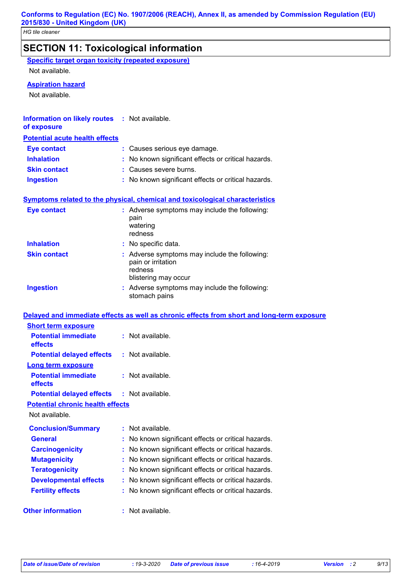# **SECTION 11: Toxicological information**

|--|

Not available.

#### **Aspiration hazard**

Not available.

#### **Information on likely routes : Not available. of exposure**

|  | or exposure |  |
|--|-------------|--|
|  |             |  |

#### **Potential acute health effects**

| Eye contact         | : Causes serious eye damage.                        |
|---------------------|-----------------------------------------------------|
| <b>Inhalation</b>   | : No known significant effects or critical hazards. |
| <b>Skin contact</b> | : Causes severe burns.                              |
| <b>Ingestion</b>    | : No known significant effects or critical hazards. |

#### **Symptoms related to the physical, chemical and toxicological characteristics**

| <b>Eye contact</b>  | : Adverse symptoms may include the following:<br>pain<br>watering<br>redness                           |
|---------------------|--------------------------------------------------------------------------------------------------------|
| <b>Inhalation</b>   | : No specific data.                                                                                    |
| <b>Skin contact</b> | : Adverse symptoms may include the following:<br>pain or irritation<br>redness<br>blistering may occur |
| <b>Ingestion</b>    | : Adverse symptoms may include the following:<br>stomach pains                                         |

### **Delayed and immediate effects as well as chronic effects from short and long-term exposure**

| <b>Short term exposure</b>                        |                                                         |
|---------------------------------------------------|---------------------------------------------------------|
| <b>Potential immediate</b><br>effects             | $:$ Not available.                                      |
| <b>Potential delayed effects</b>                  | $:$ Not available.                                      |
| <b>Long term exposure</b>                         |                                                         |
| <b>Potential immediate</b><br>effects             | : Not available.                                        |
| <b>Potential delayed effects : Not available.</b> |                                                         |
| <b>Potential chronic health effects</b>           |                                                         |
| Not available.                                    |                                                         |
| <b>Conclusion/Summary</b>                         | : Not available.                                        |
| <b>General</b>                                    | : No known significant effects or critical hazards.     |
| <b>Carcinogenicity</b>                            | : No known significant effects or critical hazards.     |
| <b>Mutagenicity</b>                               | : No known significant effects or critical hazards.     |
| <b>Teratogenicity</b>                             | No known significant effects or critical hazards.       |
| <b>Developmental effects</b>                      | No known significant effects or critical hazards.<br>t. |
| <b>Fertility effects</b>                          | : No known significant effects or critical hazards.     |
| <b>Other information</b>                          | : Not available.                                        |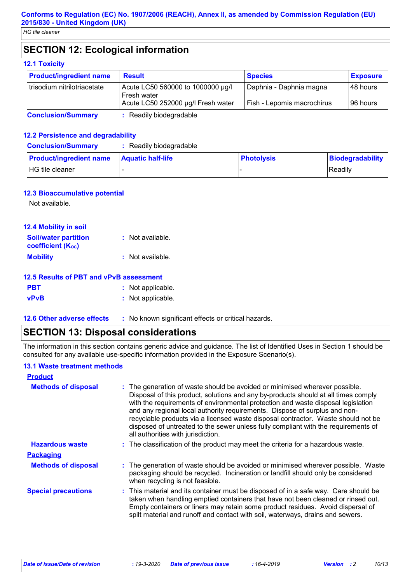# **SECTION 12: Ecological information**

#### **12.1 Toxicity**

| <b>Product/ingredient name</b> | <b>Result</b>                                    | <b>Species</b>             | <b>Exposure</b> |
|--------------------------------|--------------------------------------------------|----------------------------|-----------------|
| trisodium nitrilotriacetate    | Acute LC50 560000 to 1000000 µg/l<br>Fresh water | Daphnia - Daphnia magna    | I48 hours       |
|                                | Acute LC50 252000 µg/l Fresh water               | Fish - Lepomis macrochirus | 196 hours       |

**Conclusion/Summary :** Readily biodegradable

#### **12.2 Persistence and degradability**

| <b>Conclusion/Summary</b>                        | Readily biodegradable |                   |                  |
|--------------------------------------------------|-----------------------|-------------------|------------------|
| <b>Product/ingredient name</b> Aquatic half-life |                       | <b>Photolysis</b> | Biodegradability |
| HG tile cleaner                                  |                       |                   | l Readilv        |

#### **12.3 Bioaccumulative potential**

Not available.

| <b>12.4 Mobility in soil</b>                            |                  |
|---------------------------------------------------------|------------------|
| <b>Soil/water partition</b><br><b>coefficient (Koc)</b> | : Not available. |
| <b>Mobility</b>                                         | : Not available. |

#### **12.5 Results of PBT and vPvB assessment**

| <b>PBT</b>  | : Not applicable. |
|-------------|-------------------|
| <b>vPvB</b> | : Not applicable. |

**12.6 Other adverse effects** : No known significant effects or critical hazards.

# **SECTION 13: Disposal considerations**

The information in this section contains generic advice and guidance. The list of Identified Uses in Section 1 should be consulted for any available use-specific information provided in the Exposure Scenario(s).

#### **13.1 Waste treatment methods**

| <b>Product</b>             |                                                                                                                                                                                                                                                                                                                                                                                                                                                                                                                                                      |
|----------------------------|------------------------------------------------------------------------------------------------------------------------------------------------------------------------------------------------------------------------------------------------------------------------------------------------------------------------------------------------------------------------------------------------------------------------------------------------------------------------------------------------------------------------------------------------------|
| <b>Methods of disposal</b> | : The generation of waste should be avoided or minimised wherever possible.<br>Disposal of this product, solutions and any by-products should at all times comply<br>with the requirements of environmental protection and waste disposal legislation<br>and any regional local authority requirements. Dispose of surplus and non-<br>recyclable products via a licensed waste disposal contractor. Waste should not be<br>disposed of untreated to the sewer unless fully compliant with the requirements of<br>all authorities with jurisdiction. |
| <b>Hazardous waste</b>     | : The classification of the product may meet the criteria for a hazardous waste.                                                                                                                                                                                                                                                                                                                                                                                                                                                                     |
| <b>Packaging</b>           |                                                                                                                                                                                                                                                                                                                                                                                                                                                                                                                                                      |
| <b>Methods of disposal</b> | : The generation of waste should be avoided or minimised wherever possible. Waste<br>packaging should be recycled. Incineration or landfill should only be considered<br>when recycling is not feasible.                                                                                                                                                                                                                                                                                                                                             |
| <b>Special precautions</b> | : This material and its container must be disposed of in a safe way. Care should be<br>taken when handling emptied containers that have not been cleaned or rinsed out.<br>Empty containers or liners may retain some product residues. Avoid dispersal of<br>spilt material and runoff and contact with soil, waterways, drains and sewers.                                                                                                                                                                                                         |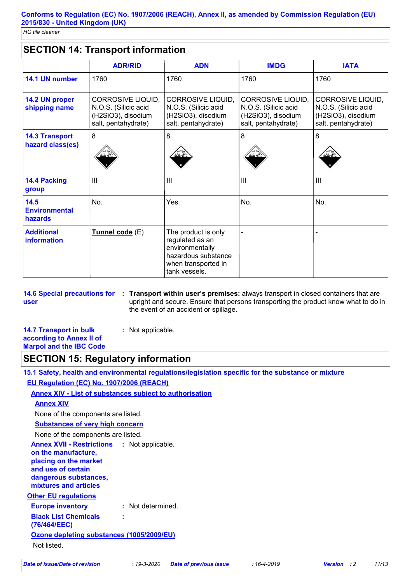# **SECTION 14: Transport information**

|                                           | <b>ADR/RID</b>                                                                                | <b>ADN</b>                                                                                                               | <b>IMDG</b>                                                                                   | <b>IATA</b>                                                                                   |
|-------------------------------------------|-----------------------------------------------------------------------------------------------|--------------------------------------------------------------------------------------------------------------------------|-----------------------------------------------------------------------------------------------|-----------------------------------------------------------------------------------------------|
| 14.1 UN number                            | 1760                                                                                          | 1760                                                                                                                     | 1760                                                                                          | 1760                                                                                          |
| 14.2 UN proper<br>shipping name           | <b>CORROSIVE LIQUID,</b><br>N.O.S. (Silicic acid<br>(H2SiO3), disodium<br>salt, pentahydrate) | CORROSIVE LIQUID,<br>N.O.S. (Silicic acid<br>(H2SiO3), disodium<br>salt, pentahydrate)                                   | <b>CORROSIVE LIQUID,</b><br>N.O.S. (Silicic acid<br>(H2SiO3), disodium<br>salt, pentahydrate) | <b>CORROSIVE LIQUID,</b><br>N.O.S. (Silicic acid<br>(H2SiO3), disodium<br>salt, pentahydrate) |
| <b>14.3 Transport</b><br>hazard class(es) | 8                                                                                             | 8                                                                                                                        | 8                                                                                             | 8                                                                                             |
| <b>14.4 Packing</b><br>group              | III                                                                                           | $\mathbf{III}$                                                                                                           | III                                                                                           | $\mathbf{III}$                                                                                |
| 14.5<br><b>Environmental</b><br>hazards   | No.                                                                                           | Yes.                                                                                                                     | No.                                                                                           | No.                                                                                           |
| <b>Additional</b><br><b>information</b>   | Tunnel code (E)                                                                               | The product is only<br>regulated as an<br>environmentally<br>hazardous substance<br>when transported in<br>tank vessels. |                                                                                               |                                                                                               |

**user**

**14.6 Special precautions for : Transport within user's premises:** always transport in closed containers that are upright and secure. Ensure that persons transporting the product know what to do in the event of an accident or spillage.

| <b>14.7 Transport in bulk</b>  | : Not applicable. |
|--------------------------------|-------------------|
| according to Annex II of       |                   |
| <b>Marpol and the IBC Code</b> |                   |

# **SECTION 15: Regulatory information**

**15.1 Safety, health and environmental regulations/legislation specific for the substance or mixture EU Regulation (EC) No. 1907/2006 (REACH)**

#### **Annex XIV - List of substances subject to authorisation**

**:**

#### **Annex XIV**

None of the components are listed.

#### **Substances of very high concern**

None of the components are listed.

**Annex XVII - Restrictions on the manufacture,** : Not applicable.

# **placing on the market**

**and use of certain dangerous substances,**

#### **mixtures and articles**

**Other EU regulations**

#### **Europe inventory :** Not determined.

**Black List Chemicals** 

**(76/464/EEC)**

**Ozone depleting substances (1005/2009/EU)** Not listed.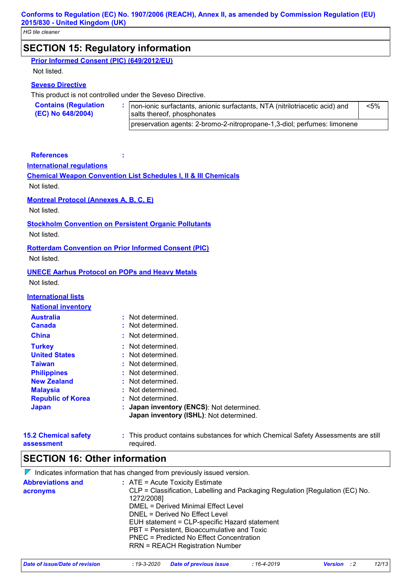# **SECTION 15: Regulatory information**

| Prior Informed Consent (PIC) (649/2012/EU) |  |  |
|--------------------------------------------|--|--|
|                                            |  |  |

Not listed.

#### **Seveso Directive**

This product is not controlled under the Seveso Directive.

| <b>Contains (Regulation</b><br>(EC) No 648/2004) | non-ionic surfactants, anionic surfactants, NTA (nitrilotriacetic acid) and<br>salts thereof, phosphonates | <5% |
|--------------------------------------------------|------------------------------------------------------------------------------------------------------------|-----|
|                                                  | preservation agents: 2-bromo-2-nitropropane-1,3-diol; perfumes: limonene                                   |     |

#### **References :**

#### **International regulations**

**Chemical Weapon Convention List Schedules I, II & III Chemicals** Not listed.

#### **Montreal Protocol (Annexes A, B, C, E)**

Not listed.

#### **Stockholm Convention on Persistent Organic Pollutants**

Not listed.

#### **Rotterdam Convention on Prior Informed Consent (PIC)** Not listed.

#### **UNECE Aarhus Protocol on POPs and Heavy Metals**

Not listed.

#### **International lists**

| <b>National inventory</b> |                                                                                      |
|---------------------------|--------------------------------------------------------------------------------------|
| <b>Australia</b>          | Not determined.<br>t.                                                                |
| <b>Canada</b>             | : Not determined.                                                                    |
| <b>China</b>              | : Not determined.                                                                    |
| <b>Turkey</b>             | : Not determined.                                                                    |
| <b>United States</b>      | : Not determined.                                                                    |
| <b>Taiwan</b>             | : Not determined.                                                                    |
| <b>Philippines</b>        | : Not determined.                                                                    |
| <b>New Zealand</b>        | : Not determined.                                                                    |
| <b>Malaysia</b>           | : Not determined.                                                                    |
| <b>Republic of Korea</b>  | Not determined.                                                                      |
| <b>Japan</b>              | : Japan inventory (ENCS): Not determined.<br>Japan inventory (ISHL): Not determined. |

| <b>15.2 Chemical safety</b> | This product contains substances for which Chemical Safety Assessments are still |
|-----------------------------|----------------------------------------------------------------------------------|
| assessment                  | required.                                                                        |

# **SECTION 16: Other information**

| <b>Abbreviations and</b><br>$:$ ATE = Acute Toxicity Estimate                                                                                                                                                                                                             |          | $\nabla$ Indicates information that has changed from previously issued version. |
|---------------------------------------------------------------------------------------------------------------------------------------------------------------------------------------------------------------------------------------------------------------------------|----------|---------------------------------------------------------------------------------|
| 1272/2008]<br>DMEL = Derived Minimal Effect Level<br>DNEL = Derived No Effect Level<br>EUH statement = CLP-specific Hazard statement<br>PBT = Persistent, Bioaccumulative and Toxic<br>PNEC = Predicted No Effect Concentration<br><b>RRN = REACH Registration Number</b> | acronyms | CLP = Classification, Labelling and Packaging Regulation [Regulation (EC) No.   |

| Date of issue/Date of revision | : 19-3-2020 Date of previous issue | : 16-4-2019 | <b>Version</b> : 2 | 12/13 |
|--------------------------------|------------------------------------|-------------|--------------------|-------|
|                                |                                    |             |                    |       |